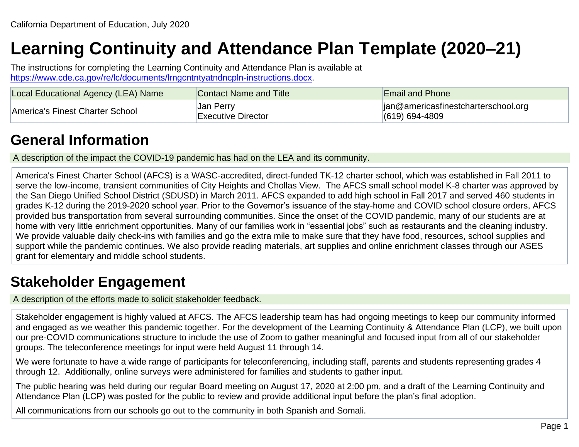# **Learning Continuity and Attendance Plan Template (2020–21)**

The instructions for completing the Learning Continuity and Attendance Plan is available at [https://www.cde.ca.gov/re/lc/documents/lrngcntntyatndncpln-instructions.docx.](https://www.cde.ca.gov/re/lc/documents/lrngcntntyatndncpln-instructions.docx)

| Local Educational Agency (LEA) Name | Contact Name and Title                              | <b>Email and Phone</b>                                            |
|-------------------------------------|-----------------------------------------------------|-------------------------------------------------------------------|
| America's Finest Charter School     | <sub>⊥</sub> Jan Perry<br><b>Executive Director</b> | $\vert$ ian@americasfinestcharterschool.org<br>$(619) 694 - 4809$ |

## **General Information**

A description of the impact the COVID-19 pandemic has had on the LEA and its community.

America's Finest Charter School (AFCS) is a WASC-accredited, direct-funded TK-12 charter school, which was established in Fall 2011 to serve the low-income, transient communities of City Heights and Chollas View. The AFCS small school model K-8 charter was approved by the San Diego Unified School District (SDUSD) in March 2011. AFCS expanded to add high school in Fall 2017 and served 460 students in grades K-12 during the 2019-2020 school year. Prior to the Governor's issuance of the stay-home and COVID school closure orders, AFCS provided bus transportation from several surrounding communities. Since the onset of the COVID pandemic, many of our students are at home with very little enrichment opportunities. Many of our families work in "essential jobs" such as restaurants and the cleaning industry. We provide valuable daily check-ins with families and go the extra mile to make sure that they have food, resources, school supplies and support while the pandemic continues. We also provide reading materials, art supplies and online enrichment classes through our ASES grant for elementary and middle school students.

## **Stakeholder Engagement**

A description of the efforts made to solicit stakeholder feedback.

Stakeholder engagement is highly valued at AFCS. The AFCS leadership team has had ongoing meetings to keep our community informed and engaged as we weather this pandemic together. For the development of the Learning Continuity & Attendance Plan (LCP), we built upon our pre-COVID communications structure to include the use of Zoom to gather meaningful and focused input from all of our stakeholder groups. The teleconference meetings for input were held August 11 through 14.

We were fortunate to have a wide range of participants for teleconferencing, including staff, parents and students representing grades 4 through 12. Additionally, online surveys were administered for families and students to gather input.

The public hearing was held during our regular Board meeting on August 17, 2020 at 2:00 pm, and a draft of the Learning Continuity and Attendance Plan (LCP) was posted for the public to review and provide additional input before the plan's final adoption.

All communications from our schools go out to the community in both Spanish and Somali.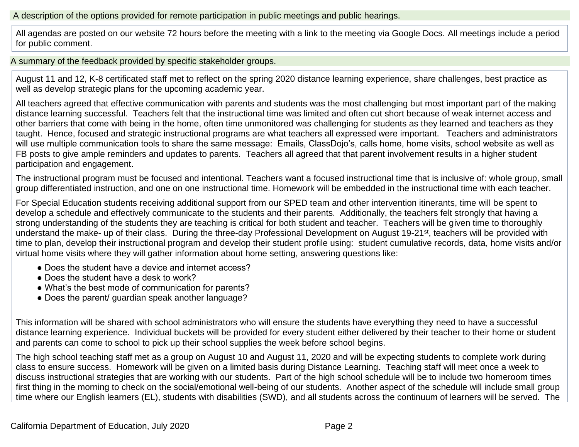#### A description of the options provided for remote participation in public meetings and public hearings.

All agendas are posted on our website 72 hours before the meeting with a link to the meeting via Google Docs. All meetings include a period for public comment.

A summary of the feedback provided by specific stakeholder groups.

August 11 and 12, K-8 certificated staff met to reflect on the spring 2020 distance learning experience, share challenges, best practice as well as develop strategic plans for the upcoming academic year.

All teachers agreed that effective communication with parents and students was the most challenging but most important part of the making distance learning successful. Teachers felt that the instructional time was limited and often cut short because of weak internet access and other barriers that come with being in the home, often time unmonitored was challenging for students as they learned and teachers as they taught. Hence, focused and strategic instructional programs are what teachers all expressed were important. Teachers and administrators will use multiple communication tools to share the same message: Emails, ClassDojo's, calls home, home visits, school website as well as FB posts to give ample reminders and updates to parents. Teachers all agreed that that parent involvement results in a higher student participation and engagement.

The instructional program must be focused and intentional. Teachers want a focused instructional time that is inclusive of: whole group, small group differentiated instruction, and one on one instructional time. Homework will be embedded in the instructional time with each teacher.

For Special Education students receiving additional support from our SPED team and other intervention itinerants, time will be spent to develop a schedule and effectively communicate to the students and their parents. Additionally, the teachers felt strongly that having a strong understanding of the students they are teaching is critical for both student and teacher. Teachers will be given time to thoroughly understand the make- up of their class. During the three-day Professional Development on August 19-21<sup>st</sup>, teachers will be provided with time to plan, develop their instructional program and develop their student profile using: student cumulative records, data, home visits and/or virtual home visits where they will gather information about home setting, answering questions like:

- Does the student have a device and internet access?
- Does the student have a desk to work?
- What's the best mode of communication for parents?
- Does the parent/ guardian speak another language?

This information will be shared with school administrators who will ensure the students have everything they need to have a successful distance learning experience. Individual buckets will be provided for every student either delivered by their teacher to their home or student and parents can come to school to pick up their school supplies the week before school begins.

The high school teaching staff met as a group on August 10 and August 11, 2020 and will be expecting students to complete work during class to ensure success. Homework will be given on a limited basis during Distance Learning. Teaching staff will meet once a week to discuss instructional strategies that are working with our students. Part of the high school schedule will be to include two homeroom times first thing in the morning to check on the social/emotional well-being of our students. Another aspect of the schedule will include small group time where our English learners (EL), students with disabilities (SWD), and all students across the continuum of learners will be served. The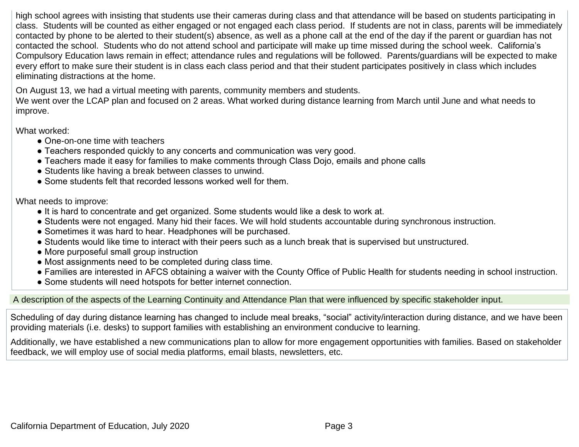high school agrees with insisting that students use their cameras during class and that attendance will be based on students participating in class. Students will be counted as either engaged or not engaged each class period. If students are not in class, parents will be immediately contacted by phone to be alerted to their student(s) absence, as well as a phone call at the end of the day if the parent or guardian has not contacted the school. Students who do not attend school and participate will make up time missed during the school week. California's Compulsory Education laws remain in effect; attendance rules and regulations will be followed. Parents/guardians will be expected to make every effort to make sure their student is in class each class period and that their student participates positively in class which includes eliminating distractions at the home.

On August 13, we had a virtual meeting with parents, community members and students.

We went over the LCAP plan and focused on 2 areas. What worked during distance learning from March until June and what needs to improve.

What worked:

- One-on-one time with teachers
- Teachers responded quickly to any concerts and communication was very good.
- Teachers made it easy for families to make comments through Class Dojo, emails and phone calls
- Students like having a break between classes to unwind.
- Some students felt that recorded lessons worked well for them.

What needs to improve:

- It is hard to concentrate and get organized. Some students would like a desk to work at.
- Students were not engaged. Many hid their faces. We will hold students accountable during synchronous instruction.
- Sometimes it was hard to hear. Headphones will be purchased.
- Students would like time to interact with their peers such as a lunch break that is supervised but unstructured.
- More purposeful small group instruction
- Most assignments need to be completed during class time.
- Families are interested in AFCS obtaining a waiver with the County Office of Public Health for students needing in school instruction.
- Some students will need hotspots for better internet connection.

#### A description of the aspects of the Learning Continuity and Attendance Plan that were influenced by specific stakeholder input.

Scheduling of day during distance learning has changed to include meal breaks, "social" activity/interaction during distance, and we have been providing materials (i.e. desks) to support families with establishing an environment conducive to learning.

Additionally, we have established a new communications plan to allow for more engagement opportunities with families. Based on stakeholder feedback, we will employ use of social media platforms, email blasts, newsletters, etc.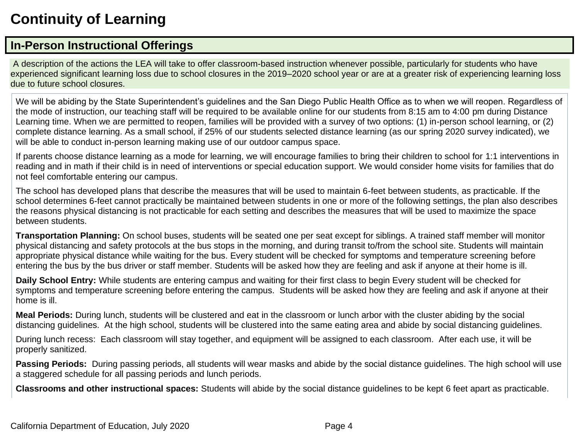## **Continuity of Learning**

### **In-Person Instructional Offerings**

A description of the actions the LEA will take to offer classroom-based instruction whenever possible, particularly for students who have experienced significant learning loss due to school closures in the 2019–2020 school year or are at a greater risk of experiencing learning loss due to future school closures.

We will be abiding by the State Superintendent's guidelines and the San Diego Public Health Office as to when we will reopen. Regardless of the mode of instruction, our teaching staff will be required to be available online for our students from 8:15 am to 4:00 pm during Distance Learning time. When we are permitted to reopen, families will be provided with a survey of two options: (1) in-person school learning, or (2) complete distance learning. As a small school, if 25% of our students selected distance learning (as our spring 2020 survey indicated), we will be able to conduct in-person learning making use of our outdoor campus space.

If parents choose distance learning as a mode for learning, we will encourage families to bring their children to school for 1:1 interventions in reading and in math if their child is in need of interventions or special education support. We would consider home visits for families that do not feel comfortable entering our campus.

The school has developed plans that describe the measures that will be used to maintain 6-feet between students, as practicable. If the school determines 6-feet cannot practically be maintained between students in one or more of the following settings, the plan also describes the reasons physical distancing is not practicable for each setting and describes the measures that will be used to maximize the space between students.

**Transportation Planning:** On school buses, students will be seated one per seat except for siblings. A trained staff member will monitor physical distancing and safety protocols at the bus stops in the morning, and during transit to/from the school site. Students will maintain appropriate physical distance while waiting for the bus. Every student will be checked for symptoms and temperature screening before entering the bus by the bus driver or staff member. Students will be asked how they are feeling and ask if anyone at their home is ill.

**Daily School Entry:** While students are entering campus and waiting for their first class to begin Every student will be checked for symptoms and temperature screening before entering the campus. Students will be asked how they are feeling and ask if anyone at their home is ill.

**Meal Periods:** During lunch, students will be clustered and eat in the classroom or lunch arbor with the cluster abiding by the social distancing guidelines. At the high school, students will be clustered into the same eating area and abide by social distancing guidelines.

During lunch recess: Each classroom will stay together, and equipment will be assigned to each classroom. After each use, it will be properly sanitized.

**Passing Periods:** During passing periods, all students will wear masks and abide by the social distance guidelines. The high school will use a staggered schedule for all passing periods and lunch periods.

**Classrooms and other instructional spaces:** Students will abide by the social distance guidelines to be kept 6 feet apart as practicable.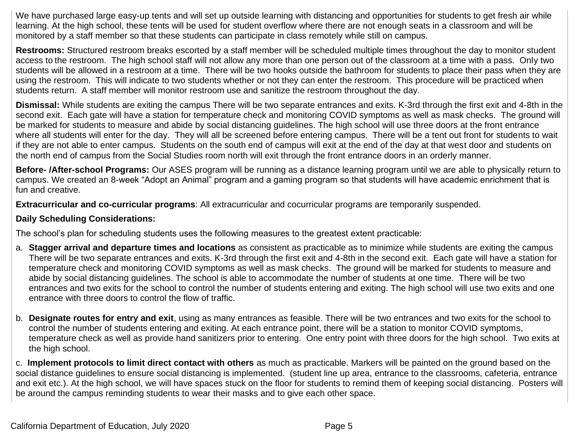We have purchased large easy-up tents and will set up outside learning with distancing and opportunities for students to get fresh air while learning. At the high school, these tents will be used for student overflow where there are not enough seats in a classroom and will be monitored by a staff member so that these students can participate in class remotely while still on campus.

**Restrooms:** Structured restroom breaks escorted by a staff member will be scheduled multiple times throughout the day to monitor student access to the restroom. The high school staff will not allow any more than one person out of the classroom at a time with a pass. Only two students will be allowed in a restroom at a time. There will be two hooks outside the bathroom for students to place their pass when they are using the restroom. This will indicate to two students whether or not they can enter the restroom. This procedure will be practiced when students return. A staff member will monitor restroom use and sanitize the restroom throughout the day.

**Dismissal:** While students are exiting the campus There will be two separate entrances and exits. K-3rd through the first exit and 4-8th in the second exit. Each gate will have a station for temperature check and monitoring COVID symptoms as well as mask checks. The ground will be marked for students to measure and abide by social distancing guidelines. The high school will use three doors at the front entrance where all students will enter for the day. They will all be screened before entering campus. There will be a tent out front for students to wait if they are not able to enter campus. Students on the south end of campus will exit at the end of the day at that west door and students on the north end of campus from the Social Studies room north will exit through the front entrance doors in an orderly manner.

**Before- /After-school Programs:** Our ASES program will be running as a distance learning program until we are able to physically return to campus. We created an 8-week "Adopt an Animal" program and a gaming program so that students will have academic enrichment that is fun and creative.

**Extracurricular and co-curricular programs**: All extracurricular and cocurricular programs are temporarily suspended.

#### **Daily Scheduling Considerations:**

The school's plan for scheduling students uses the following measures to the greatest extent practicable:

- a. **Stagger arrival and departure times and locations** as consistent as practicable as to minimize while students are exiting the campus There will be two separate entrances and exits. K-3rd through the first exit and 4-8th in the second exit. Each gate will have a station for temperature check and monitoring COVID symptoms as well as mask checks. The ground will be marked for students to measure and abide by social distancing guidelines. The school is able to accommodate the number of students at one time. There will be two entrances and two exits for the school to control the number of students entering and exiting. The high school will use two exits and one entrance with three doors to control the flow of traffic.
- b. **Designate routes for entry and exit**, using as many entrances as feasible. There will be two entrances and two exits for the school to control the number of students entering and exiting. At each entrance point, there will be a station to monitor COVID symptoms, temperature check as well as provide hand sanitizers prior to entering. One entry point with three doors for the high school. Two exits at the high school.

c. **Implement protocols to limit direct contact with others** as much as practicable. Markers will be painted on the ground based on the social distance guidelines to ensure social distancing is implemented. (student line up area, entrance to the classrooms, cafeteria, entrance and exit etc.). At the high school, we will have spaces stuck on the floor for students to remind them of keeping social distancing. Posters will be around the campus reminding students to wear their masks and to give each other space.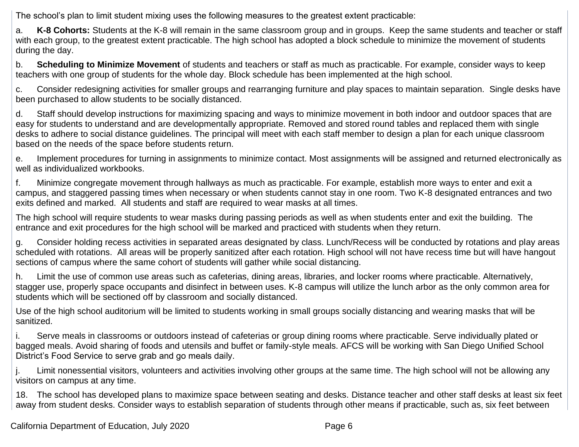The school's plan to limit student mixing uses the following measures to the greatest extent practicable:

a. **K-8 Cohorts:** Students at the K-8 will remain in the same classroom group and in groups. Keep the same students and teacher or staff with each group, to the greatest extent practicable. The high school has adopted a block schedule to minimize the movement of students during the day.

b. **Scheduling to Minimize Movement** of students and teachers or staff as much as practicable. For example, consider ways to keep teachers with one group of students for the whole day. Block schedule has been implemented at the high school.

c. Consider redesigning activities for smaller groups and rearranging furniture and play spaces to maintain separation. Single desks have been purchased to allow students to be socially distanced.

d. Staff should develop instructions for maximizing spacing and ways to minimize movement in both indoor and outdoor spaces that are easy for students to understand and are developmentally appropriate. Removed and stored round tables and replaced them with single desks to adhere to social distance guidelines. The principal will meet with each staff member to design a plan for each unique classroom based on the needs of the space before students return.

e. Implement procedures for turning in assignments to minimize contact. Most assignments will be assigned and returned electronically as well as individualized workbooks.

f. Minimize congregate movement through hallways as much as practicable. For example, establish more ways to enter and exit a campus, and staggered passing times when necessary or when students cannot stay in one room. Two K-8 designated entrances and two exits defined and marked. All students and staff are required to wear masks at all times.

The high school will require students to wear masks during passing periods as well as when students enter and exit the building. The entrance and exit procedures for the high school will be marked and practiced with students when they return.

g. Consider holding recess activities in separated areas designated by class. Lunch/Recess will be conducted by rotations and play areas scheduled with rotations. All areas will be properly sanitized after each rotation. High school will not have recess time but will have hangout sections of campus where the same cohort of students will gather while social distancing.

h. Limit the use of common use areas such as cafeterias, dining areas, libraries, and locker rooms where practicable. Alternatively, stagger use, properly space occupants and disinfect in between uses. K-8 campus will utilize the lunch arbor as the only common area for students which will be sectioned off by classroom and socially distanced.

Use of the high school auditorium will be limited to students working in small groups socially distancing and wearing masks that will be sanitized.

i. Serve meals in classrooms or outdoors instead of cafeterias or group dining rooms where practicable. Serve individually plated or bagged meals. Avoid sharing of foods and utensils and buffet or family-style meals. AFCS will be working with San Diego Unified School District's Food Service to serve grab and go meals daily.

j. Limit nonessential visitors, volunteers and activities involving other groups at the same time. The high school will not be allowing any visitors on campus at any time.

18. The school has developed plans to maximize space between seating and desks. Distance teacher and other staff desks at least six feet away from student desks. Consider ways to establish separation of students through other means if practicable, such as, six feet between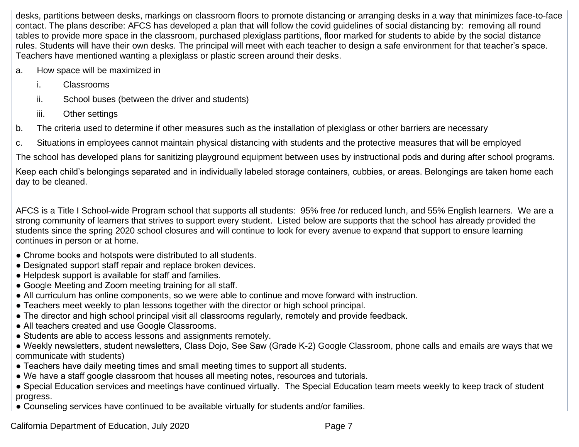desks, partitions between desks, markings on classroom floors to promote distancing or arranging desks in a way that minimizes face-to-face contact. The plans describe: AFCS has developed a plan that will follow the covid guidelines of social distancing by: removing all round tables to provide more space in the classroom, purchased plexiglass partitions, floor marked for students to abide by the social distance rules. Students will have their own desks. The principal will meet with each teacher to design a safe environment for that teacher's space. Teachers have mentioned wanting a plexiglass or plastic screen around their desks.

- a. How space will be maximized in
	- i. Classrooms
	- ii. School buses (between the driver and students)
	- iii. Other settings
- b. The criteria used to determine if other measures such as the installation of plexiglass or other barriers are necessary
- c. Situations in employees cannot maintain physical distancing with students and the protective measures that will be employed

The school has developed plans for sanitizing playground equipment between uses by instructional pods and during after school programs.

Keep each child's belongings separated and in individually labeled storage containers, cubbies, or areas. Belongings are taken home each day to be cleaned.

AFCS is a Title I School-wide Program school that supports all students: 95% free /or reduced lunch, and 55% English learners. We are a strong community of learners that strives to support every student. Listed below are supports that the school has already provided the students since the spring 2020 school closures and will continue to look for every avenue to expand that support to ensure learning continues in person or at home.

- Chrome books and hotspots were distributed to all students.
- Designated support staff repair and replace broken devices.
- Helpdesk support is available for staff and families.
- Google Meeting and Zoom meeting training for all staff.
- All curriculum has online components, so we were able to continue and move forward with instruction.
- Teachers meet weekly to plan lessons together with the director or high school principal.
- The director and high school principal visit all classrooms regularly, remotely and provide feedback.
- All teachers created and use Google Classrooms.
- Students are able to access lessons and assignments remotely.
- Weekly newsletters, student newsletters, Class Dojo, See Saw (Grade K-2) Google Classroom, phone calls and emails are ways that we communicate with students)
- Teachers have daily meeting times and small meeting times to support all students.
- We have a staff google classroom that houses all meeting notes, resources and tutorials.
- Special Education services and meetings have continued virtually. The Special Education team meets weekly to keep track of student progress.
- Counseling services have continued to be available virtually for students and/or families.

California Department of Education, July 2020 **Page 7** Page 7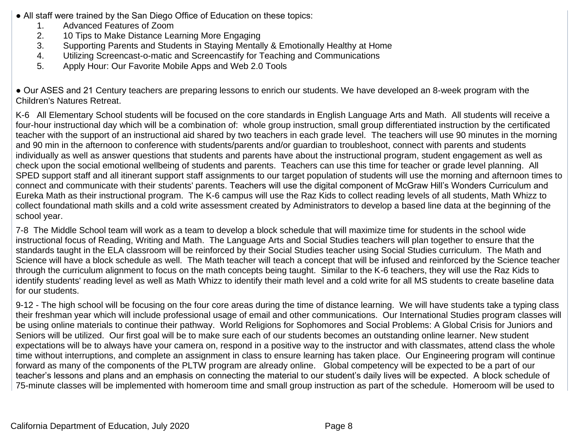- All staff were trained by the San Diego Office of Education on these topics:
	- 1. Advanced Features of Zoom
	- 2. 10 Tips to Make Distance Learning More Engaging
	- 3. Supporting Parents and Students in Staying Mentally & Emotionally Healthy at Home
	- 4. Utilizing Screencast-o-matic and Screencastify for Teaching and Communications
	- 5. Apply Hour: Our Favorite Mobile Apps and Web 2.0 Tools

● Our ASES and 21 Century teachers are preparing lessons to enrich our students. We have developed an 8-week program with the Children's Natures Retreat.

K-6 All Elementary School students will be focused on the core standards in English Language Arts and Math. All students will receive a four-hour instructional day which will be a combination of: whole group instruction, small group differentiated instruction by the certificated teacher with the support of an instructional aid shared by two teachers in each grade level. The teachers will use 90 minutes in the morning and 90 min in the afternoon to conference with students/parents and/or guardian to troubleshoot, connect with parents and students individually as well as answer questions that students and parents have about the instructional program, student engagement as well as check upon the social emotional wellbeing of students and parents. Teachers can use this time for teacher or grade level planning. All SPED support staff and all itinerant support staff assignments to our target population of students will use the morning and afternoon times to connect and communicate with their students' parents. Teachers will use the digital component of McGraw Hill's Wonders Curriculum and Eureka Math as their instructional program. The K-6 campus will use the Raz Kids to collect reading levels of all students, Math Whizz to collect foundational math skills and a cold write assessment created by Administrators to develop a based line data at the beginning of the school year.

7-8 The Middle School team will work as a team to develop a block schedule that will maximize time for students in the school wide instructional focus of Reading, Writing and Math. The Language Arts and Social Studies teachers will plan together to ensure that the standards taught in the ELA classroom will be reinforced by their Social Studies teacher using Social Studies curriculum. The Math and Science will have a block schedule as well. The Math teacher will teach a concept that will be infused and reinforced by the Science teacher through the curriculum alignment to focus on the math concepts being taught. Similar to the K-6 teachers, they will use the Raz Kids to identify students' reading level as well as Math Whizz to identify their math level and a cold write for all MS students to create baseline data for our students.

9-12 - The high school will be focusing on the four core areas during the time of distance learning. We will have students take a typing class their freshman year which will include professional usage of email and other communications. Our International Studies program classes will be using online materials to continue their pathway. World Religions for Sophomores and Social Problems: A Global Crisis for Juniors and Seniors will be utilized. Our first goal will be to make sure each of our students becomes an outstanding online learner. New student expectations will be to always have your camera on, respond in a positive way to the instructor and with classmates, attend class the whole time without interruptions, and complete an assignment in class to ensure learning has taken place. Our Engineering program will continue forward as many of the components of the PLTW program are already online. Global competency will be expected to be a part of our teacher's lessons and plans and an emphasis on connecting the material to our student's daily lives will be expected. A block schedule of 75-minute classes will be implemented with homeroom time and small group instruction as part of the schedule. Homeroom will be used to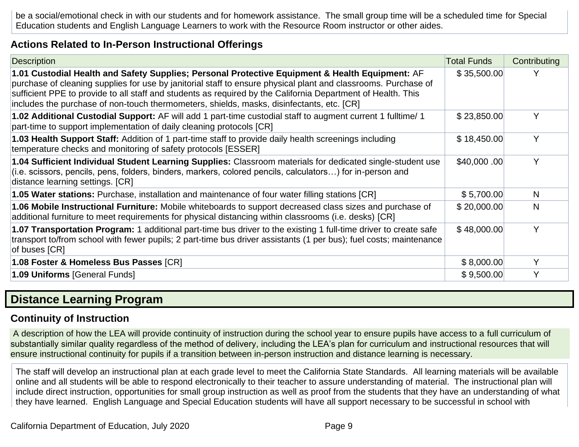be a social/emotional check in with our students and for homework assistance. The small group time will be a scheduled time for Special Education students and English Language Learners to work with the Resource Room instructor or other aides.

#### **Actions Related to In-Person Instructional Offerings**

| Description                                                                                                                                                                                                                                                                                                                                                                                                                    | <b>Total Funds</b> | Contributing |
|--------------------------------------------------------------------------------------------------------------------------------------------------------------------------------------------------------------------------------------------------------------------------------------------------------------------------------------------------------------------------------------------------------------------------------|--------------------|--------------|
| 1.01 Custodial Health and Safety Supplies; Personal Protective Equipment & Health Equipment: AF<br>purchase of cleaning supplies for use by janitorial staff to ensure physical plant and classrooms. Purchase of<br>sufficient PPE to provide to all staff and students as required by the California Department of Health. This<br>includes the purchase of non-touch thermometers, shields, masks, disinfectants, etc. [CR] | \$35,500.00        | Y            |
| 1.02 Additional Custodial Support: AF will add 1 part-time custodial staff to augment current 1 fulltime/ 1<br>part-time to support implementation of daily cleaning protocols [CR]                                                                                                                                                                                                                                            | \$23,850.00        | Y            |
| 1.03 Health Support Staff: Addition of 1 part-time staff to provide daily health screenings including<br>temperature checks and monitoring of safety protocols [ESSER]                                                                                                                                                                                                                                                         | \$18,450.00        | Υ            |
| 1.04 Sufficient Individual Student Learning Supplies: Classroom materials for dedicated single-student use<br>(i.e. scissors, pencils, pens, folders, binders, markers, colored pencils, calculators) for in-person and<br>distance learning settings. [CR]                                                                                                                                                                    | \$40,000.00        | Y            |
| <b>1.05 Water stations:</b> Purchase, installation and maintenance of four water filling stations [CR]                                                                                                                                                                                                                                                                                                                         | \$5,700.00         | N.           |
| 1.06 Mobile Instructional Furniture: Mobile whiteboards to support decreased class sizes and purchase of<br>additional furniture to meet requirements for physical distancing within classrooms (i.e. desks) [CR]                                                                                                                                                                                                              | \$20,000.00        | N            |
| 1.07 Transportation Program: 1 additional part-time bus driver to the existing 1 full-time driver to create safe<br>transport to/from school with fewer pupils; 2 part-time bus driver assistants (1 per bus); fuel costs; maintenance<br>of buses [CR]                                                                                                                                                                        | \$48,000.00        | Υ            |
| 1.08 Foster & Homeless Bus Passes [CR]                                                                                                                                                                                                                                                                                                                                                                                         | \$8,000.00         | Y            |
| 1.09 Uniforms [General Funds]                                                                                                                                                                                                                                                                                                                                                                                                  | \$9,500.00         | Υ            |

### **Distance Learning Program**

### **Continuity of Instruction**

A description of how the LEA will provide continuity of instruction during the school year to ensure pupils have access to a full curriculum of substantially similar quality regardless of the method of delivery, including the LEA's plan for curriculum and instructional resources that will ensure instructional continuity for pupils if a transition between in-person instruction and distance learning is necessary.

The staff will develop an instructional plan at each grade level to meet the California State Standards. All learning materials will be available online and all students will be able to respond electronically to their teacher to assure understanding of material. The instructional plan will include direct instruction, opportunities for small group instruction as well as proof from the students that they have an understanding of what they have learned. English Language and Special Education students will have all support necessary to be successful in school with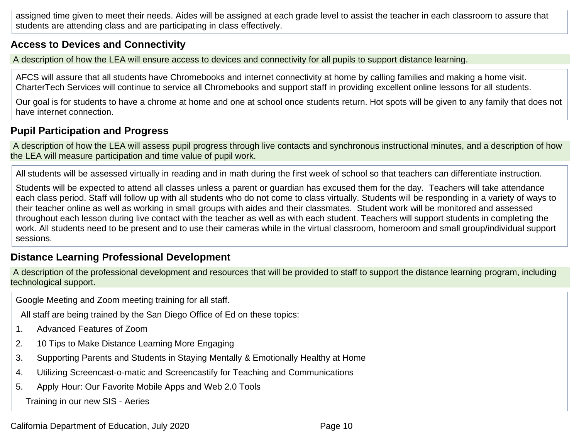assigned time given to meet their needs. Aides will be assigned at each grade level to assist the teacher in each classroom to assure that students are attending class and are participating in class effectively.

#### **Access to Devices and Connectivity**

A description of how the LEA will ensure access to devices and connectivity for all pupils to support distance learning.

AFCS will assure that all students have Chromebooks and internet connectivity at home by calling families and making a home visit. CharterTech Services will continue to service all Chromebooks and support staff in providing excellent online lessons for all students.

Our goal is for students to have a chrome at home and one at school once students return. Hot spots will be given to any family that does not have internet connection.

### **Pupil Participation and Progress**

A description of how the LEA will assess pupil progress through live contacts and synchronous instructional minutes, and a description of how the LEA will measure participation and time value of pupil work.

All students will be assessed virtually in reading and in math during the first week of school so that teachers can differentiate instruction.

Students will be expected to attend all classes unless a parent or guardian has excused them for the day. Teachers will take attendance each class period. Staff will follow up with all students who do not come to class virtually. Students will be responding in a variety of ways to their teacher online as well as working in small groups with aides and their classmates. Student work will be monitored and assessed throughout each lesson during live contact with the teacher as well as with each student. Teachers will support students in completing the work. All students need to be present and to use their cameras while in the virtual classroom, homeroom and small group/individual support sessions.

#### **Distance Learning Professional Development**

A description of the professional development and resources that will be provided to staff to support the distance learning program, including technological support.

Google Meeting and Zoom meeting training for all staff.

All staff are being trained by the San Diego Office of Ed on these topics:

- 1. Advanced Features of Zoom
- 2. 10 Tips to Make Distance Learning More Engaging
- 3. Supporting Parents and Students in Staying Mentally & Emotionally Healthy at Home
- 4. Utilizing Screencast-o-matic and Screencastify for Teaching and Communications
- 5. Apply Hour: Our Favorite Mobile Apps and Web 2.0 Tools

Training in our new SIS - Aeries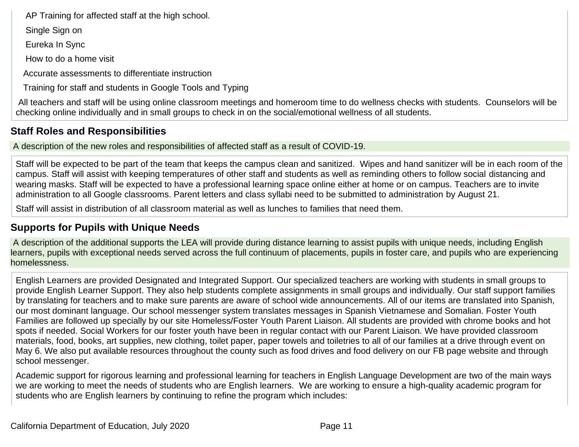AP Training for affected staff at the high school.

Single Sign on

Eureka In Sync

How to do a home visit

Accurate assessments to differentiate instruction

Training for staff and students in Google Tools and Typing

All teachers and staff will be using online classroom meetings and homeroom time to do wellness checks with students. Counselors will be checking online individually and in small groups to check in on the social/emotional wellness of all students.

### **Staff Roles and Responsibilities**

A description of the new roles and responsibilities of affected staff as a result of COVID-19.

Staff will be expected to be part of the team that keeps the campus clean and sanitized. Wipes and hand sanitizer will be in each room of the campus. Staff will assist with keeping temperatures of other staff and students as well as reminding others to follow social distancing and wearing masks. Staff will be expected to have a professional learning space online either at home or on campus. Teachers are to invite administration to all Google classrooms. Parent letters and class syllabi need to be submitted to administration by August 21.

Staff will assist in distribution of all classroom material as well as lunches to families that need them.

### **Supports for Pupils with Unique Needs**

A description of the additional supports the LEA will provide during distance learning to assist pupils with unique needs, including English learners, pupils with exceptional needs served across the full continuum of placements, pupils in foster care, and pupils who are experiencing homelessness.

English Learners are provided Designated and Integrated Support. Our specialized teachers are working with students in small groups to provide English Learner Support. They also help students complete assignments in small groups and individually. Our staff support families by translating for teachers and to make sure parents are aware of school wide announcements. All of our items are translated into Spanish, our most dominant language. Our school messenger system translates messages in Spanish Vietnamese and Somalian. Foster Youth Families are followed up specially by our site Homeless/Foster Youth Parent Liaison. All students are provided with chrome books and hot spots if needed. Social Workers for our foster youth have been in regular contact with our Parent Liaison. We have provided classroom materials, food, books, art supplies, new clothing, toilet paper, paper towels and toiletries to all of our families at a drive through event on May 6. We also put available resources throughout the county such as food drives and food delivery on our FB page website and through school messenger.

Academic support for rigorous learning and professional learning for teachers in English Language Development are two of the main ways we are working to meet the needs of students who are English learners. We are working to ensure a high-quality academic program for students who are English learners by continuing to refine the program which includes: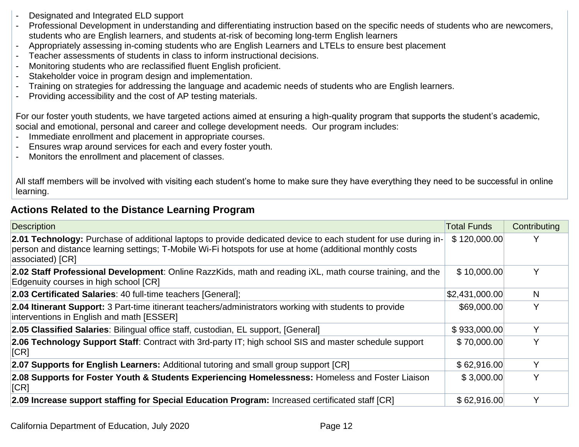- Designated and Integrated ELD support
- Professional Development in understanding and differentiating instruction based on the specific needs of students who are newcomers, students who are English learners, and students at-risk of becoming long-term English learners
- Appropriately assessing in-coming students who are English Learners and LTELs to ensure best placement
- Teacher assessments of students in class to inform instructional decisions.
- Monitoring students who are reclassified fluent English proficient.
- Stakeholder voice in program design and implementation.
- Training on strategies for addressing the language and academic needs of students who are English learners.
- Providing accessibility and the cost of AP testing materials.

For our foster youth students, we have targeted actions aimed at ensuring a high-quality program that supports the student's academic, social and emotional, personal and career and college development needs. Our program includes:

- Immediate enrollment and placement in appropriate courses.
- Ensures wrap around services for each and every foster youth.
- Monitors the enrollment and placement of classes.

All staff members will be involved with visiting each student's home to make sure they have everything they need to be successful in online learning.

#### **Actions Related to the Distance Learning Program**

| Description                                                                                                                                                                                                                                    | <b>Total Funds</b> | Contributing |
|------------------------------------------------------------------------------------------------------------------------------------------------------------------------------------------------------------------------------------------------|--------------------|--------------|
| 2.01 Technology: Purchase of additional laptops to provide dedicated device to each student for use during in-<br>person and distance learning settings; T-Mobile Wi-Fi hotspots for use at home (additional monthly costs<br>associated) [CR] | \$120,000.00       |              |
| 2.02 Staff Professional Development: Online RazzKids, math and reading iXL, math course training, and the<br>Edgenuity courses in high school [CR]                                                                                             | \$10,000.00        | Y            |
| 2.03 Certificated Salaries: 40 full-time teachers [General];                                                                                                                                                                                   | \$2,431,000.00     | N            |
| 2.04 Itinerant Support: 3 Part-time itinerant teachers/administrators working with students to provide<br>interventions in English and math [ESSER]                                                                                            | \$69,000.00        | $\checkmark$ |
| 2.05 Classified Salaries: Bilingual office staff, custodian, EL support, [General]                                                                                                                                                             | \$933,000.00       |              |
| 2.06 Technology Support Staff: Contract with 3rd-party IT; high school SIS and master schedule support<br>  <b>CR</b>                                                                                                                          | \$70,000.00        | v            |
| 2.07 Supports for English Learners: Additional tutoring and small group support [CR]                                                                                                                                                           | \$62,916.00        |              |
| 2.08 Supports for Foster Youth & Students Experiencing Homelessness: Homeless and Foster Liaison<br>[CR]                                                                                                                                       | \$3,000.00         | v            |
| 2.09 Increase support staffing for Special Education Program: Increased certificated staff [CR]                                                                                                                                                | \$62,916.00        |              |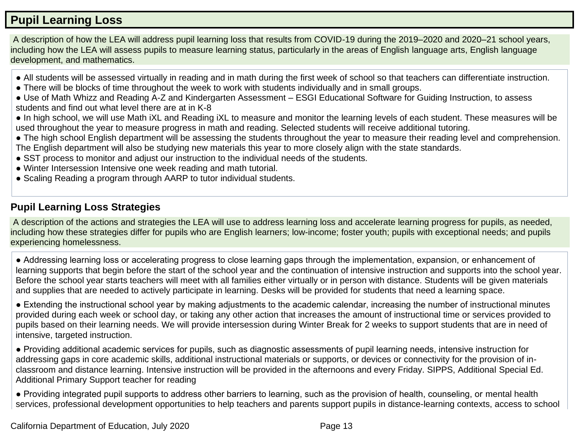### **Pupil Learning Loss**

A description of how the LEA will address pupil learning loss that results from COVID-19 during the 2019–2020 and 2020–21 school years, including how the LEA will assess pupils to measure learning status, particularly in the areas of English language arts, English language development, and mathematics.

- All students will be assessed virtually in reading and in math during the first week of school so that teachers can differentiate instruction.
- There will be blocks of time throughout the week to work with students individually and in small groups.
- Use of Math Whizz and Reading A-Z and Kindergarten Assessment ESGI Educational Software for Guiding Instruction, to assess students and find out what level there are at in K-8
- In high school, we will use Math iXL and Reading iXL to measure and monitor the learning levels of each student. These measures will be used throughout the year to measure progress in math and reading. Selected students will receive additional tutoring.
- The high school English department will be assessing the students throughout the year to measure their reading level and comprehension. The English department will also be studying new materials this year to more closely align with the state standards.
- SST process to monitor and adjust our instruction to the individual needs of the students.
- Winter Intersession Intensive one week reading and math tutorial.
- Scaling Reading a program through AARP to tutor individual students.

### **Pupil Learning Loss Strategies**

A description of the actions and strategies the LEA will use to address learning loss and accelerate learning progress for pupils, as needed, including how these strategies differ for pupils who are English learners; low-income; foster youth; pupils with exceptional needs; and pupils experiencing homelessness.

● Addressing learning loss or accelerating progress to close learning gaps through the implementation, expansion, or enhancement of learning supports that begin before the start of the school year and the continuation of intensive instruction and supports into the school year. Before the school year starts teachers will meet with all families either virtually or in person with distance. Students will be given materials and supplies that are needed to actively participate in learning. Desks will be provided for students that need a learning space.

• Extending the instructional school year by making adjustments to the academic calendar, increasing the number of instructional minutes provided during each week or school day, or taking any other action that increases the amount of instructional time or services provided to pupils based on their learning needs. We will provide intersession during Winter Break for 2 weeks to support students that are in need of intensive, targeted instruction.

● Providing additional academic services for pupils, such as diagnostic assessments of pupil learning needs, intensive instruction for addressing gaps in core academic skills, additional instructional materials or supports, or devices or connectivity for the provision of inclassroom and distance learning. Intensive instruction will be provided in the afternoons and every Friday. SIPPS, Additional Special Ed. Additional Primary Support teacher for reading

• Providing integrated pupil supports to address other barriers to learning, such as the provision of health, counseling, or mental health services, professional development opportunities to help teachers and parents support pupils in distance-learning contexts, access to school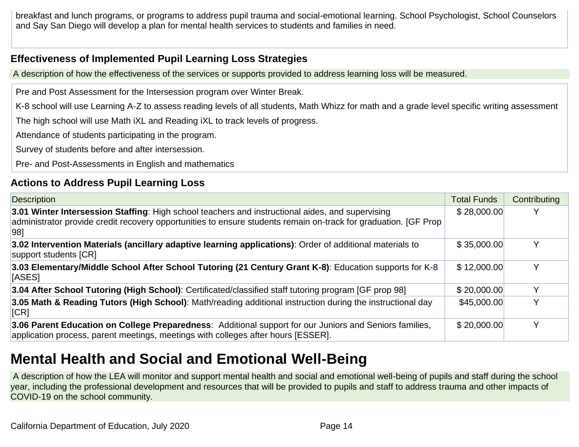breakfast and lunch programs, or programs to address pupil trauma and social-emotional learning. School Psychologist, School Counselors and Say San Diego will develop a plan for mental health services to students and families in need.

#### **Effectiveness of Implemented Pupil Learning Loss Strategies**

A description of how the effectiveness of the services or supports provided to address learning loss will be measured.

Pre and Post Assessment for the Intersession program over Winter Break.

K-8 school will use Learning A-Z to assess reading levels of all students, Math Whizz for math and a grade level specific writing assessment

The high school will use Math iXL and Reading iXL to track levels of progress.

Attendance of students participating in the program.

Survey of students before and after intersession.

Pre- and Post-Assessments in English and mathematics

### **Actions to Address Pupil Learning Loss**

| Description                                                                                                                                                                                                                 | <b>Total Funds</b> | Contributing |
|-----------------------------------------------------------------------------------------------------------------------------------------------------------------------------------------------------------------------------|--------------------|--------------|
| 3.01 Winter Intersession Staffing: High school teachers and instructional aides, and supervising<br>administrator provide credit recovery opportunities to ensure students remain on-track for graduation. [GF Prop<br> 981 | \$28,000.00        |              |
| 3.02 Intervention Materials (ancillary adaptive learning applications): Order of additional materials to<br>support students [CR]                                                                                           | \$35,000.00        |              |
| 3.03 Elementary/Middle School After School Tutoring (21 Century Grant K-8): Education supports for K-8<br>[ASES]                                                                                                            | \$12,000.00        |              |
| 3.04 After School Tutoring (High School): Certificated/classified staff tutoring program [GF prop 98]                                                                                                                       | \$20,000.00        |              |
| 3.05 Math & Reading Tutors (High School): Math/reading additional instruction during the instructional day<br>  <b>ICR</b>                                                                                                  | \$45,000.00        | $\checkmark$ |
| 3.06 Parent Education on College Preparedness: Additional support for our Juniors and Seniors families,<br>application process, parent meetings, meetings with colleges after hours [ESSER].                                | \$20,000.00        |              |

## **Mental Health and Social and Emotional Well-Being**

A description of how the LEA will monitor and support mental health and social and emotional well-being of pupils and staff during the school year, including the professional development and resources that will be provided to pupils and staff to address trauma and other impacts of COVID-19 on the school community.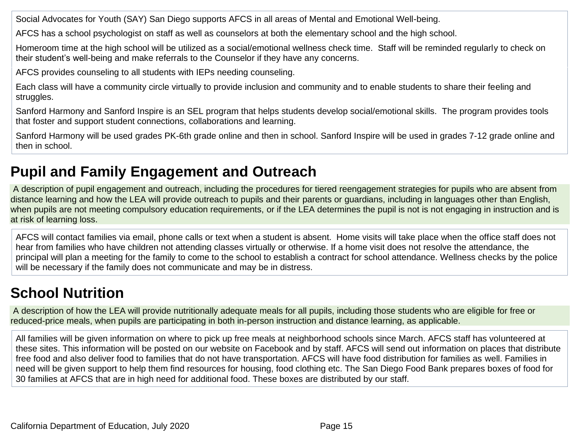Social Advocates for Youth (SAY) San Diego supports AFCS in all areas of Mental and Emotional Well-being.

AFCS has a school psychologist on staff as well as counselors at both the elementary school and the high school.

Homeroom time at the high school will be utilized as a social/emotional wellness check time. Staff will be reminded regularly to check on their student's well-being and make referrals to the Counselor if they have any concerns.

AFCS provides counseling to all students with IEPs needing counseling.

Each class will have a community circle virtually to provide inclusion and community and to enable students to share their feeling and struggles.

Sanford Harmony and Sanford Inspire is an SEL program that helps students develop social/emotional skills. The program provides tools that foster and support student connections, collaborations and learning.

Sanford Harmony will be used grades PK-6th grade online and then in school. Sanford Inspire will be used in grades 7-12 grade online and then in school.

## **Pupil and Family Engagement and Outreach**

A description of pupil engagement and outreach, including the procedures for tiered reengagement strategies for pupils who are absent from distance learning and how the LEA will provide outreach to pupils and their parents or guardians, including in languages other than English, when pupils are not meeting compulsory education requirements, or if the LEA determines the pupil is not is not engaging in instruction and is at risk of learning loss.

AFCS will contact families via email, phone calls or text when a student is absent. Home visits will take place when the office staff does not hear from families who have children not attending classes virtually or otherwise. If a home visit does not resolve the attendance, the principal will plan a meeting for the family to come to the school to establish a contract for school attendance. Wellness checks by the police will be necessary if the family does not communicate and may be in distress.

## **School Nutrition**

A description of how the LEA will provide nutritionally adequate meals for all pupils, including those students who are eligible for free or reduced-price meals, when pupils are participating in both in-person instruction and distance learning, as applicable.

All families will be given information on where to pick up free meals at neighborhood schools since March. AFCS staff has volunteered at these sites. This information will be posted on our website on Facebook and by staff. AFCS will send out information on places that distribute free food and also deliver food to families that do not have transportation. AFCS will have food distribution for families as well. Families in need will be given support to help them find resources for housing, food clothing etc. The San Diego Food Bank prepares boxes of food for 30 families at AFCS that are in high need for additional food. These boxes are distributed by our staff.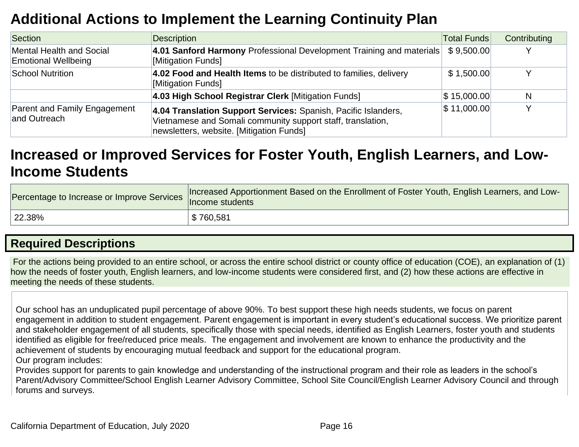## **Additional Actions to Implement the Learning Continuity Plan**

| Section                                                | <b>Description</b>                                                                                                                                                        | <b>Total Funds</b> | Contributing |
|--------------------------------------------------------|---------------------------------------------------------------------------------------------------------------------------------------------------------------------------|--------------------|--------------|
| Mental Health and Social<br><b>Emotional Wellbeing</b> | 4.01 Sanford Harmony Professional Development Training and materials<br>[Mitigation Funds]                                                                                | \$9,500.00         |              |
| School Nutrition                                       | 4.02 Food and Health Items to be distributed to families, delivery<br>[Mitigation Funds]                                                                                  | \$1,500.00         |              |
|                                                        | 4.03 High School Registrar Clerk [Mitigation Funds]                                                                                                                       | \$15,000.00        | N            |
| Parent and Family Engagement<br>and Outreach           | 4.04 Translation Support Services: Spanish, Pacific Islanders,<br>Vietnamese and Somali community support staff, translation,<br>newsletters, website. [Mitigation Funds] | $\$\,11,000.00\]$  |              |

## **Increased or Improved Services for Foster Youth, English Learners, and Low-Income Students**

| Percentage to Increase or Improve Services | Increased Apportionment Based on the Enrollment of Foster Youth, English Learners, and Low-<br>Income students |
|--------------------------------------------|----------------------------------------------------------------------------------------------------------------|
| $122.38\%$                                 | \$760,581                                                                                                      |

### **Required Descriptions**

For the actions being provided to an entire school, or across the entire school district or county office of education (COE), an explanation of (1) how the needs of foster youth, English learners, and low-income students were considered first, and (2) how these actions are effective in meeting the needs of these students.

Our school has an unduplicated pupil percentage of above 90%. To best support these high needs students, we focus on parent engagement in addition to student engagement. Parent engagement is important in every student's educational success. We prioritize parent and stakeholder engagement of all students, specifically those with special needs, identified as English Learners, foster youth and students identified as eligible for free/reduced price meals. The engagement and involvement are known to enhance the productivity and the achievement of students by encouraging mutual feedback and support for the educational program.

Our program includes:

Provides support for parents to gain knowledge and understanding of the instructional program and their role as leaders in the school's Parent/Advisory Committee/School English Learner Advisory Committee, School Site Council/English Learner Advisory Council and through forums and surveys.